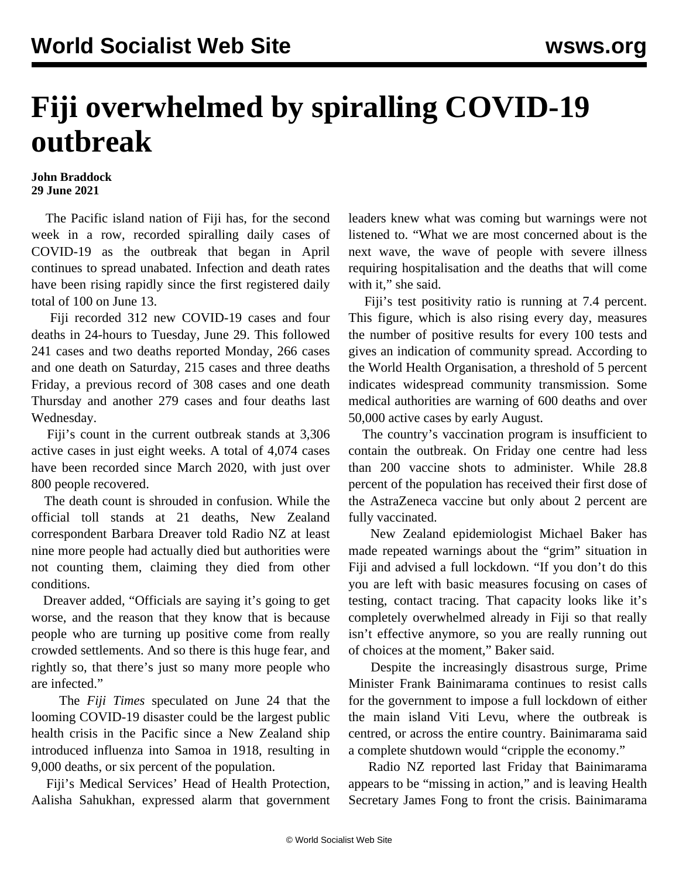## **Fiji overwhelmed by spiralling COVID-19 outbreak**

## **John Braddock 29 June 2021**

 The Pacific island nation of Fiji has, for the second week in a row, recorded spiralling daily cases of COVID-19 as the outbreak that began in April continues to spread unabated. Infection and death rates have been rising rapidly since the first registered daily total of 100 on June 13.

 Fiji recorded 312 new COVID-19 cases and four deaths in 24-hours to Tuesday, June 29. This followed 241 cases and two deaths reported Monday, 266 cases and one death on Saturday, 215 cases and three deaths Friday, a previous record of 308 cases and one death Thursday and another 279 cases and four deaths last Wednesday.

 Fiji's count in the current outbreak stands at 3,306 active cases in just eight weeks. A total of 4,074 cases have been recorded since March 2020, with just over 800 people recovered.

 The death count is shrouded in confusion. While the official toll stands at 21 deaths, New Zealand correspondent Barbara Dreaver told Radio NZ at least nine more people had actually died but authorities were not counting them, claiming they died from other conditions.

 Dreaver added, "Officials are saying it's going to get worse, and the reason that they know that is because people who are turning up positive come from really crowded settlements. And so there is this huge fear, and rightly so, that there's just so many more people who are infected."

 The *Fiji Times* speculated on June 24 that the looming COVID-19 disaster could be the largest public health crisis in the Pacific since a New Zealand ship introduced influenza into Samoa in 1918, resulting in 9,000 deaths, or six percent of the population.

 Fiji's Medical Services' Head of Health Protection, Aalisha Sahukhan, expressed alarm that government leaders knew what was coming but warnings were not listened to. "What we are most concerned about is the next wave, the wave of people with severe illness requiring hospitalisation and the deaths that will come with it," she said.

 Fiji's test positivity ratio is running at 7.4 percent. This figure, which is also rising every day, measures the number of positive results for every 100 tests and gives an indication of community spread. According to the World Health Organisation, a threshold of 5 percent indicates widespread community transmission. Some medical authorities are warning of 600 deaths and over 50,000 active cases by early August.

 The country's vaccination program is insufficient to contain the outbreak. On Friday one centre had less than 200 vaccine shots to administer. While 28.8 percent of the population has received their first dose of the AstraZeneca vaccine but only about 2 percent are fully vaccinated.

 New Zealand epidemiologist Michael Baker has made repeated warnings about the "grim" situation in Fiji and advised a full lockdown. "If you don't do this you are left with basic measures focusing on cases of testing, contact tracing. That capacity looks like it's completely overwhelmed already in Fiji so that really isn't effective anymore, so you are really running out of choices at the moment," Baker said.

 Despite the increasingly disastrous surge, Prime Minister Frank Bainimarama continues to resist calls for the government to impose a full lockdown of either the main island Viti Levu, where the outbreak is centred, or across the entire country. Bainimarama said a complete shutdown would "cripple the economy."

 Radio NZ reported last Friday that Bainimarama appears to be "missing in action," and is leaving Health Secretary James Fong to front the crisis. Bainimarama